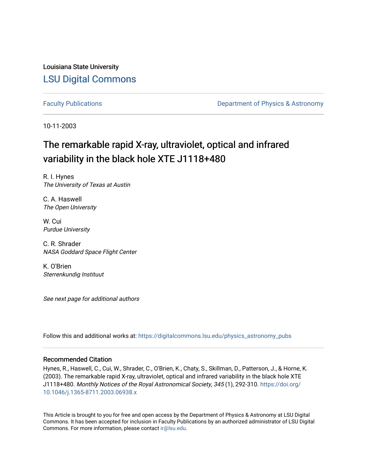Louisiana State University [LSU Digital Commons](https://digitalcommons.lsu.edu/)

[Faculty Publications](https://digitalcommons.lsu.edu/physics_astronomy_pubs) **Exercise 2 and Table 2 and Table 2 and Table 2 and Table 2 and Table 2 and Table 2 and Table 2 and Table 2 and Table 2 and Table 2 and Table 2 and Table 2 and Table 2 and Table 2 and Table 2 and Table** 

10-11-2003

# The remarkable rapid X-ray, ultraviolet, optical and infrared variability in the black hole XTE J1118+480

R. I. Hynes The University of Texas at Austin

C. A. Haswell The Open University

W. Cui Purdue University

C. R. Shrader NASA Goddard Space Flight Center

K. O'Brien Sterrenkundig Instituut

See next page for additional authors

Follow this and additional works at: [https://digitalcommons.lsu.edu/physics\\_astronomy\\_pubs](https://digitalcommons.lsu.edu/physics_astronomy_pubs?utm_source=digitalcommons.lsu.edu%2Fphysics_astronomy_pubs%2F2645&utm_medium=PDF&utm_campaign=PDFCoverPages) 

# Recommended Citation

Hynes, R., Haswell, C., Cui, W., Shrader, C., O'Brien, K., Chaty, S., Skillman, D., Patterson, J., & Horne, K. (2003). The remarkable rapid X-ray, ultraviolet, optical and infrared variability in the black hole XTE J1118+480. Monthly Notices of the Royal Astronomical Society, 345 (1), 292-310. [https://doi.org/](https://doi.org/10.1046/j.1365-8711.2003.06938.x) [10.1046/j.1365-8711.2003.06938.x](https://doi.org/10.1046/j.1365-8711.2003.06938.x) 

This Article is brought to you for free and open access by the Department of Physics & Astronomy at LSU Digital Commons. It has been accepted for inclusion in Faculty Publications by an authorized administrator of LSU Digital Commons. For more information, please contact [ir@lsu.edu](mailto:ir@lsu.edu).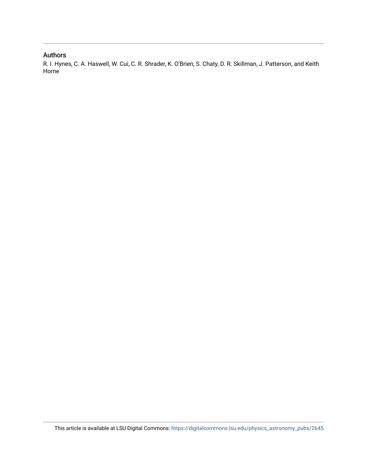# Authors

R. I. Hynes, C. A. Haswell, W. Cui, C. R. Shrader, K. O'Brien, S. Chaty, D. R. Skillman, J. Patterson, and Keith Horne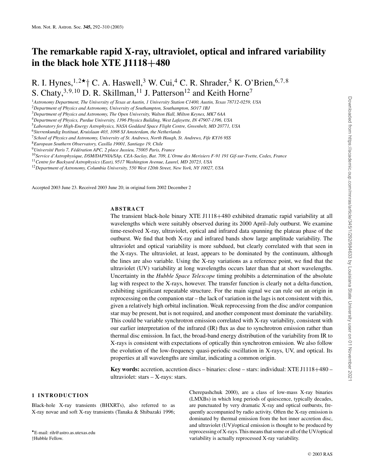# **The remarkable rapid X-ray, ultraviolet, optical and infrared variability in the black hole XTE J1118+480**

R. I. Hynes,  $1.2*$  C. A. Haswell, <sup>3</sup> W. Cui, <sup>4</sup> C. R. Shrader, <sup>5</sup> K. O'Brien, <sup>6,7,8</sup> S. Chaty,  $3,9,10$  D. R. Skillman, <sup>11</sup> J. Patterson<sup>12</sup> and Keith Horne<sup>7</sup>

<sup>1</sup>*Astronomy Department, The University of Texas at Austin, 1 University Station C1400, Austin, Texas 78712-0259, USA*

<sup>3</sup>*Department of Physics and Astronomy, The Open University, Walton Hall, Milton Keynes, MK7 6AA*

<sup>4</sup>*Department of Physics, Purdue University, 1396 Physics Building, West Lafayette, IN 47907-1396, USA*

<sup>11</sup>*Centre for Backyard Astrophysics (East), 9517 Washington Avenue, Laurel, MD 20723, USA*

<sup>12</sup>*Department of Astronomy, Columbia University, 550 West 120th Street, New York, NY 10027, USA*

Accepted 2003 June 23. Received 2003 June 20; in original form 2002 December 2

## **ABSTRACT**

The transient black-hole binary XTE J1118+480 exhibited dramatic rapid variability at all wavelengths which were suitably observed during its 2000 April–July outburst. We examine time-resolved X-ray, ultraviolet, optical and infrared data spanning the plateau phase of the outburst. We find that both X-ray and infrared bands show large amplitude variability. The ultraviolet and optical variability is more subdued, but clearly correlated with that seen in the X-rays. The ultraviolet, at least, appears to be dominated by the continuum, although the lines are also variable. Using the X-ray variations as a reference point, we find that the ultraviolet (UV) variability at long wavelengths occurs later than that at short wavelengths. Uncertainty in the *Hubble Space Telescope* timing prohibits a determination of the absolute lag with respect to the X-rays, however. The transfer function is clearly not a delta-function, exhibiting significant repeatable structure. For the main signal we can rule out an origin in reprocessing on the companion star – the lack of variation in the lags is not consistent with this, given a relatively high orbital inclination. Weak reprocessing from the disc and/or companion star may be present, but is not required, and another component must dominate the variability. This could be variable synchrotron emission correlated with X-ray variability, consistent with our earlier interpretation of the infrared (IR) flux as due to synchrotron emission rather than thermal disc emission. In fact, the broad-band energy distribution of the variability from IR to X-rays is consistent with expectations of optically thin synchrotron emission. We also follow the evolution of the low-frequency quasi-periodic oscillation in X-rays, UV, and optical. Its properties at all wavelengths are similar, indicating a common origin.

**Key words:** accretion, accretion discs – binaries: close – stars: individual: XTE J1118+480 – ultraviolet: stars – X-rays: stars.

# **1 INTRODUCTION**

Black-hole X-ray transients (BHXRTs), also referred to as X-ray novae and soft X-ray transients (Tanaka & Shibazaki 1996;

E-mail: rih@astro.as.utexas.edu †Hubble Fellow.

Cherepashchuk 2000), are a class of low-mass X-ray binaries (LMXBs) in which long periods of quiescence, typically decades, are punctuated by very dramatic X-ray and optical outbursts, frequently accompanied by radio activity. Often the X-ray emission is dominated by thermal emission from the hot inner accretion disc, and ultraviolet (UV)/optical emission is thought to be produced by reprocessing of X-rays. This means that some or all of the UV/optical variability is actually reprocessed X-ray variability.

<sup>2</sup>*Department of Physics and Astronomy, University of Southampton, Southampton, SO17 1BJ*

<sup>5</sup>*Laboratory for High-Energy Astrophysics, NASA Goddard Space Flight Centre, Greenbelt, MD 20771, USA*

<sup>6</sup>*Sterrenkundig Instituut, Kruislaan 403, 1098 SJ Amsterdam, the Netherlands*

<sup>7</sup>*School of Physics and Astronomy, University of St. Andrews, North Haugh, St. Andrews, Fife KY16 9SS*

<sup>8</sup>*European Southern Observatory, Casilla 19001, Santiago 19, Chile*

<sup>9</sup>*Universite Paris 7, F ´ ed´ eration APC, 2 place Jussieu, 75005 Paris, France ´*

<sup>10</sup>*Service d'Astrophysique, DSM/DAPNIA/SAp, CEA-Saclay, Bat. 709, L'Orme des Merisiers F-91 191 Gif-sur-Yvette, Cedex, France*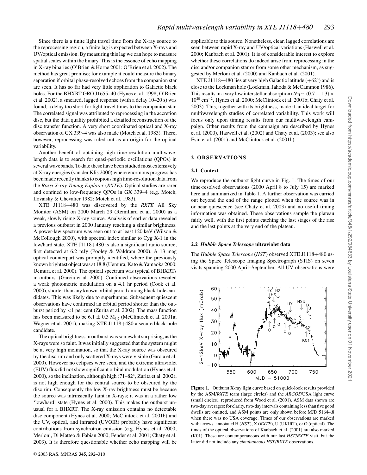Since there is a finite light travel time from the X-ray source to the reprocessing region, a finite lag is expected between X-rays and UV/optical emission. By measuring this lag we can hope to measure spatial scales within the binary. This is the essence of echo mapping in X-ray binaries (O'Brien & Horne 2001; O'Brien et al. 2002). The method has great promise; for example it could measure the binary separation if orbital phase-resolved echoes from the companion star are seen. It has so far had very little application to Galactic black holes. For the BHXRT GRO J1655–40 (Hynes et al. 1998; O'Brien et al. 2002), a smeared, lagged response (with a delay 10–20 s) was found, a delay too short for light travel times to the companion star. The correlated signal was attributed to reprocessing in the accretion disc, but the data quality prohibited a detailed reconstruction of the disc transfer function. A very short coordinated optical and X-ray observation of GX 339–4 was also made (Motch et al. 1983). There, however, reprocessing was ruled out as an origin for the optical variability.

Another benefit of obtaining high time-resolution multiwavelength data is to search for quasi-periodic oscillations (QPOs) in several wavebands. To date these have been studied most extensively at X-ray energies (van der Klis 2000) where enormous progress has been made recently thanks to copious high time-resolution data from the *Rossi X-ray Timing Explorer* (*RXTE*). Optical studies are rarer and confined to low-frequency QPOs in GX 339–4 (e.g. Motch, Ilovaisky & Chevalier 1982; Motch et al. 1983).

XTE J1118+480 was discovered by the *RXTE* All Sky Monitor (ASM) on 2000 March 29 (Remillard et al. 2000) as a weak, slowly rising X-ray source. Analysis of earlier data revealed a previous outburst in 2000 January reaching a similar brightness. A power-law spectrum was seen out to at least 120 keV (Wilson & McCollough 2000), with spectral index similar to Cyg X-1 in the low/hard state. XTE J1118+480 is also a significant radio source, first detected at 6.2 mJy (Pooley & Waldram 2000). A 13 mag optical counterpart was promptly identified, where the previously known brightest object was at 18.8 (Uemura, Kato & Yamaoka 2000; Uemura et al. 2000). The optical spectrum was typical of BHXRTs in outburst (Garcia et al. 2000). Continued observations revealed a weak photometric modulation on a 4.1 hr period (Cook et al. 2000), shorter than any known orbital period among black-hole candidates. This was likely due to superhumps. Subsequent quiescent observations have confirmed an orbital period shorter than the outburst period by <1 per cent (Zurita et al. 2002). The mass function has been measured to be  $6.1 \pm 0.3$  M<sub> $\odot$ </sub> (McClintock et al. 2001a; Wagner et al. 2001), making XTE J1118+480 a secure black-hole candidate.

The optical brightness in outburst was somewhat surprising, as the X-rays were so faint. It was initially suggested that the system might be at very high inclination, so that the X-ray source was obscured by the disc rim and only scattered X-rays were visible (Garcia et al. 2000). However no eclipses were seen, and the extreme ultraviolet (EUV) flux did not show significant orbital modulation (Hynes et al. 2000), so the inclination, although high (71–82◦, Zurita et al. 2002), is not high enough for the central source to be obscured by the disc rim. Consequently the low X-ray brightness must be because the source was intrinsically faint in X-rays; it was in a rather low 'low/hard' state (Hynes et al. 2000). This makes the outburst unusual for a BHXRT. The X-ray emission contains no detectable disc component (Hynes et al. 2000; McClintock et al. 2001b) and the UV, optical, and infrared (UVOIR) probably have significant contributions from synchrotron emission (e.g. Hynes et al. 2000; Merloni, Di Matteo & Fabian 2000; Fender et al. 2001; Chaty et al. 2003). It is therefore questionable whether echo mapping will be applicable to this source. Nonetheless, clear, lagged correlations are seen between rapid X-ray and UV/optical variations (Haswell et al. 2000; Kanbach et al. 2001). It is of considerable interest to explore whether these correlations do indeed arise from reprocessing in the disc and/or companion star or from some other mechanism, as suggested by Merloni et al. (2000) and Kanbach et al. (2001).

XTE J1118+480 lies at very high Galactic latitude  $(+62^{\circ})$  and is close to the Lockman hole (Lockman, Jahoda & McCammon 1986). This results in a very low interstellar absorption ( $N_H$  ~ (0.7 – 1.3) × 1020 cm−2, Hynes et al. 2000; McClintock et al. 2001b; Chaty et al. 2003). This, together with its brightness, made it an ideal target for multiwavelength studies of correlated variability. This work will focus only upon timing results from our multiwavelength campaign. Other results from the campaign are described by Hynes et al. (2000), Haswell et al. (2002) and Chaty et al. (2003); see also Esin et al. (2001) and McClintock et al. (2001b).

## **2 O B S E RVAT I O N S**

### **2.1 Context**

We reproduce the outburst light curve in Fig. 1. The times of our time-resolved observations (2000 April 8 to July 15) are marked here and summarized in Table 1. A further observation was carried out beyond the end of the range plotted when the source was in or near quiescence (see Chaty et al. 2003) and no useful timing information was obtained. These observations sample the plateau fairly well, with the first points catching the last stages of the rise and the last points at the very end of the plateau.

## **2.2** *Hubble Space Telescope* **ultraviolet data**

The *Hubble Space Telescope* (*HST*) observed XTE J1118+480 using the Space Telescope Imaging Spectrograph (STIS) on seven visits spanning 2000 April–September. All UV observations were



**Figure 1.** Outburst X-ray light curve based on quick-look results provided by the ASM/*RXTE* team (large circles) and the *ARGOS*/USA light curve (small circles), reproduced from Wood et al. (2001). ASM data shown are two-day averages; for clarity, two-day intervals containing less than five good dwells are omitted, and ASM points are only shown before MJD 51644.8 when there was no USA coverage. Times of our observations are marked with arrows, annotated H (*HST*), X (*RXTE*), U (UKIRT), or O (optical). The times of the optical observations of Kanbach et al. (2001) are also marked (K01). These are contemporaneous with our last *HST*/*RXTE* visit, but the latter did not include any *simultaneous HST*/*RXTE* observations.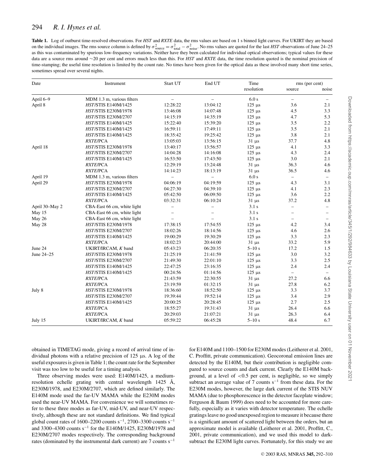# 294 *R. I. Hynes et al.*

**Table 1.** Log of outburst time-resolved observations. For *HST* and *RXTE* data, the rms values are based on 1 s binned light curves. For UKIRT they are based on the individual images. The rms source column is defined by  $\sigma_{\text{source}}^2 = \sigma_{\text{total}}^2 - \sigma_{\text{noise}}^2$ . No rms values are quoted for the last *HST* observations of June 24–25 as this was contaminated by spurious low-frequency variations. Neither have they been calculated for individual optical observations; typical values for these data are a source rms around ∼20 per cent and errors much less than this. For *HST* and *RXTE* data, the time resolution quoted is the nominal precision of time-stamping; the useful time resolution is limited by the count rate. No times have been given for the optical data as these involved many short time series, sometimes spread over several nights.

| Date           | Instrument                  | Start UT                 | End UT                   | Time                      | rms (per cent)           |                          |
|----------------|-----------------------------|--------------------------|--------------------------|---------------------------|--------------------------|--------------------------|
|                |                             |                          |                          | resolution                | source                   | noise                    |
| April 6-9      | MDM 1.3 m, various filters  |                          |                          | 6.0 s                     | $\qquad \qquad -$        |                          |
| April 8        | HST/STIS E140M/1425         | 12:28:22                 | 13:04:12                 | $125 \mu s$               | 3.6                      | 2.1                      |
|                | HST/STIS E230M/1978         | 13:46:08                 | 14:07:48                 | $125 \text{ }\mu\text{s}$ | 4.5                      | 3.3                      |
|                | HST/STIS E230M/2707         | 14:15:19                 | 14:35:19                 | $125 \mu s$               | 4.7                      | 5.3                      |
|                | HST/STIS E140M/1425         | 15:22:40                 | 15:39:20                 | $125 \text{ }\mu\text{s}$ | 3.5                      | 2.2                      |
|                | HST/STIS E140M/1425         | 16:59:11                 | 17:49:11                 | $125 \text{ }\mu\text{s}$ | 3.5                      | 2.1                      |
|                | HST/STIS E140M/1425         | 18:35:42                 | 19:25:42                 | $125 \text{ }\mu\text{s}$ | 3.8                      | 2.1                      |
|                | <b>RXTE/PCA</b>             | 13:05:03                 | 13:56:15                 | $31 \text{ }\mu\text{s}$  | 37.7                     | 4.8                      |
| April 18       | HST/STIS E230M/1978         | 13:40:17                 | 13:56:57                 | $125 \text{ }\mu\text{s}$ | 4.1                      | 3.3                      |
|                | HST/STIS E230M/2707         | 14:04:28                 | 14:16:08                 | $125 \text{ }\mu\text{s}$ | 4.3                      | 2.4                      |
|                | HST/STIS E140M/1425         | 16:53:50                 | 17:43:50                 | $125 \mu s$               | 3.0                      | 2.1                      |
|                | <b>RXTE/PCA</b>             | 12:29:19                 | 13:24:48                 | $31 \mu s$                | 36.3                     | 4.6                      |
|                | <b>RXTE/PCA</b>             | 14:14:23                 | 18:13:19                 | $31 \mu s$                | 36.5                     | 4.6                      |
| April 19       | MDM 1.3 m, various filters  | $\overline{a}$           | $\qquad \qquad -$        | 6.0 s                     | $\overline{\phantom{0}}$ | $\overline{\phantom{m}}$ |
| April 29       | HST/STIS E230M/1978         | 04:06:19                 | 04:19:59                 | $125 \mu s$               | 4.3                      | 3.1                      |
|                | HST/STIS E230M/2707         | 04:27:30                 | 04:39:10                 | $125 \text{ }\mu\text{s}$ | 4.1                      | 2.3                      |
|                | HST/STIS E140M/1425         | 05:42:50                 | 06:09:50                 | $125 \text{ }\mu\text{s}$ | 3.6                      | 2.2                      |
|                | <b>RXTE/PCA</b>             | 03:32:31                 | 06:10:24                 | $31 \mu s$                | 37.2                     | 4.8                      |
| April 30-May 2 | CBA-East 66 cm, white light | $\qquad \qquad -$        | $\overline{\phantom{0}}$ | 3.1 s                     | $\overline{\phantom{0}}$ |                          |
| May 15         | CBA-East 66 cm, white light | $\overline{\phantom{0}}$ |                          | 3.1 s                     | $\overline{\phantom{0}}$ | $\overline{\phantom{0}}$ |
| May 26         | CBA-East 66 cm, white light |                          |                          | 3.1 s                     | $\overline{\phantom{0}}$ |                          |
| May 28         | HST/STIS E230M/1978         | 17:38:15                 | 17:54:55                 | $125 \mu s$               | 4.2                      | 3.4                      |
|                | HST/STIS E230M/2707         | 18:02:26                 | 18:14:56                 | $125 \mu s$               | 4.6                      | 2.6                      |
|                | HST/STIS E140M/1425         | 19:00:29                 | 19:30:29                 | $125 \mu s$               | 3.3                      | 2.3                      |
|                | RXTE/PCA                    | 18:02:23                 | 20:44:00                 | $31 \text{ }\mu\text{s}$  | 33.2                     | 5.9                      |
| June 24        | UKIRT/IRCAM, K band         | 05:43:23                 | 06:20:35                 | $5 - 10s$                 | 17.2                     | 1.5                      |
| June 24-25     | HST/STIS E230M/1978         | 21:25:19                 | 21:41:59                 | $125 \text{ }\mu\text{s}$ | 3.0                      | 3.2                      |
|                | HST/STIS E230M/2707         | 21:49:30                 | 22:01:10                 | $125 \mu s$               | 3.3                      | 2.5                      |
|                | HST/STIS E140M/1425         | 22:47:25                 | 23:16:35                 | $125 \mu s$               | 2.4                      | 2.4                      |
|                | HST/STIS E140M/1425         | 00:24:56                 | 01:14:56                 | $125 \text{ }\mu\text{s}$ | $\equiv$                 | $\equiv$                 |
|                | <b>RXTE/PCA</b>             | 21:43:59                 | 22:30:55                 | $31 \mu s$                | 27.2                     | 6.6                      |
|                | RXTE/PCA                    | 23:19:59                 | 01:32:15                 | $31 \mu s$                | 27.8                     | 6.2                      |
| July 8         | HST/STIS E230M/1978         | 18:36:60                 | 18:52:50                 | $125 \text{ }\mu\text{s}$ | 3.3                      | 3.7                      |
|                | HST/STIS E230M/2707         | 19:39:44                 | 19:52:14                 | $125 \text{ }\mu\text{s}$ | 3.4                      | 2.9                      |
|                | HST/STIS E140M/1425         | 20:00:25                 | 20:28:45                 | $125 \mu s$               | 2.7                      | 2.5                      |
|                | <b>RXTE/PCA</b>             | 18:55:27                 | 19:31:43                 | $31 \mu s$                | 26.4                     | 6.6                      |
|                | <b>RXTE/PCA</b>             | 20:29:03                 | 21:07:21                 | $31 \mu s$                | 26.3                     | 6.4                      |
| July 15        | UKIRT/IRCAM, K band         | 05:59:22                 | 06:45:28                 | $5 - 10 s$                | 48.4                     | 6.7                      |

obtained in TIMETAG mode, giving a record of arrival time of individual photons with a relative precision of  $125 \mu s$ . A log of the useful exposures is given in Table 1; the count rate for the September visit was too low to be useful for a timing analysis.

Three observing modes were used: E140M/1425, a mediumresolution echelle grating with central wavelength  $1425$  Å, E230M/1978, and E230M/2707, which are defined similarly. The E140M mode used the far-UV MAMA while the E230M modes used the near-UV MAMA. For convenience we will sometimes refer to these three modes as far-UV, mid-UV, and near-UV respectively, although these are not standard definitions. We find typical global count rates of 1600–2200 counts s<sup>-1</sup>, 2700–3300 counts s<sup>-1</sup> and 3300–4300 counts s−<sup>1</sup> for the E140M/1425, E230M/1978 and E230M/2707 modes respectively. The corresponding background rates (dominated by the instrumental dark current) are 7 counts  $s^{-1}$ 

for E140M and 1100–1500 for E230M modes (Leitherer et al. 2001, C. Proffitt, private communication). Geocoronal emission lines are detected by the E140M, but their contribution is negligible compared to source counts and dark current. Clearly the E140M background, at a level of <0.5 per cent, is negligible, so we simply subtract an average value of 7 counts s<sup> $-1$ </sup> from these data. For the E230M modes, however, the large dark current of the STIS NUV MAMA (due to phosphorescence in the detector faceplate window; Ferguson & Baum 1999) does need to be accounted for more carefully, especially as it varies with detector temperature. The echelle gratings leave no good unexposed region to measure it because there is a significant amount of scattered light between the orders, but an approximate model is available (Leitherer et al. 2001, Proffitt, C., 2001, private communication), and we used this model to darksubtract the E230M light curves. Fortunately, for this study we are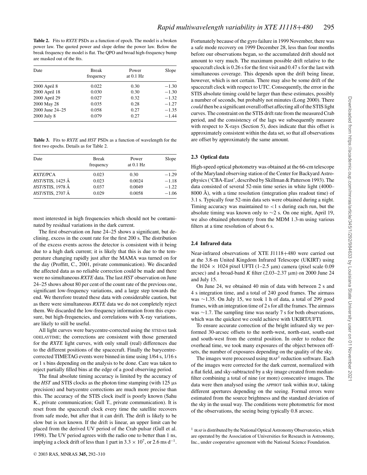**Table 2.** Fits to *RXTE* PSDs as a function of epoch. The model is a broken power law. The quoted power and slope define the power law. Below the break frequency the model is flat. The QPO and broad high-frequency bump are masked out of the fits.

| Date            | <b>Break</b><br>frequency | Power<br>at $0.1$ Hz | Slope   |  |
|-----------------|---------------------------|----------------------|---------|--|
| 2000 April 8    | 0.022                     | 0.30                 | $-1.30$ |  |
| 2000 April 18   | 0.030                     | 0.30                 | $-1.30$ |  |
| 2000 April 29   | 0.027                     | 0.32                 | $-1.32$ |  |
| 2000 May 28     | 0.035                     | 0.28                 | $-1.27$ |  |
| 2000 June 24-25 | 0.058                     | 0.27                 | $-1.35$ |  |
| 2000 July 8     | 0.079                     | 0.27                 | $-1.44$ |  |

**Table 3.** Fits to *RXTE* and *HST* PSDs as a function of wavelength for the first two epochs. Details as for Table 2.

| Date                     | <b>Break</b><br>frequency | Power<br>at $0.1$ Hz | Slope   |
|--------------------------|---------------------------|----------------------|---------|
| <i>RXTE/PCA</i>          | 0.023                     | 0.30                 | $-1.29$ |
| <i>HST/STIS</i> , 1425 Å | 0.023                     | 0.0024               | $-1.18$ |
| <i>HST/STIS</i> , 1978 Å | 0.037                     | 0.0049               | $-1.22$ |
| HST/STIS, 2707 Å         | 0.029                     | 0.0058               | $-1.06$ |

most interested in high frequencies which should not be contaminated by residual variations in the dark current.

The first observation on June 24–25 shows a significant, but declining, excess in the count rate for the first 200 s. The distribution of the excess events across the detector is consistent with it being due to a high dark current; it is likely that this is due to the temperature changing rapidly just after the MAMA was turned on for the day (Proffitt, C., 2001, private communication). We discarded the affected data as no reliable correction could be made and there were no simultaneous *RXTE* data. The last *HST* observation on June 24–25 shows about 80 per cent of the count rate of the previous one, significant low-frequency variations, and a large step towards the end. We therefore treated these data with considerable caution, but as there were simultaneous *RXTE* data we do not completely reject them. We discarded the low-frequency information from this exposure, but high-frequencies, and correlations with X-ray variations, are likely to still be useful.

All light curves were barycentre-corrected using the STSDAS task ODELAYTIME; the corrections are consistent with those generated for the *RXTE* light curves, with only small (real) differences due to the different positions of the spacecraft. Finally the barycentrecorrected TIMETAG events were binned in time using 1/64 s, 1/16 s or 1 s bins depending on the analysis to be done. Care was taken to reject partially filled bins at the edge of a good observing period.

The final absolute timing accuracy is limited by the accuracy of the *HST* and STIS clocks as the photon time stamping (with 125 µs precision) and barycentre corrections are much more precise than this. The accuracy of the STIS clock itself is poorly known (Sahu K., private communication; Gull T., private communication). It is reset from the spacecraft clock every time the satellite recovers from safe mode, but after that it can drift. The drift is likely to be slow but is not known. If the drift is linear, an upper limit can be placed from the derived UV period of the Crab pulsar (Gull et al. 1998). The UV period agrees with the radio one to better than 1 ns, implying a clock drift of less than 1 part in 3.3  $\times$  10<sup>7</sup>, or 2.6 ms d<sup>-1</sup>. Fortunately because of the gyro failure in 1999 November, there was a safe mode recovery on 1999 December 28, less than four months before our observations began, so the accumulated drift should not amount to very much. The maximum possible drift relative to the spacecraft clock is 0.26 s for the first visit and 0.47 s for the last with simultaneous coverage. This depends upon the drift being linear, however, which is not certain. There may also be some drift of the spacecraft clock with respect to UTC. Consequently, the error in the STIS absolute timing could be larger than these estimates, possibly a number of seconds, but probably not minutes (Long 2000). There *could* then be a significant overall offset affecting all of the STIS light curves. The constraint on the STIS drift rate from the measured Crab period, and the consistency of the lags we subsequently measure with respect to X-rays (Section 5), does indicate that this offset is approximately consistent within the data set, so that all observations are offset by approximately the same amount.

# **2.3 Optical data**

High-speed optical photometry was obtained at the 66-cm telescope of the Maryland observing station of the Center for Backyard Astrophysics ('CBA-East', described by Skillman & Patterson 1993). The data consisted of several 52-min time series in white light (4000–  $8000 \text{ Å}$ ), with a time resolution (integration plus readout time) of 3.1 s. Typically four 52-min data sets were obtained during a night. Timing accuracy was maintained to  $<$ 1 s during each run, but the absolute timing was known only to ∼2 s. On one night, April 19, we also obtained photometry from the MDM 1.3-m using various filters at a time resolution of about 6 s.

## **2.4 Infrared data**

Near-infrared observations of XTE J1118+480 were carried out at the 3.8-m United Kingdom Infrared Telescope (UKIRT) using the 1024  $\times$  1024 pixel UFTI (1–2.5 µm) camera (pixel scale 0.09 arcsec) and a broad-band  $K$  filter (2.03–2.37  $\mu$ m) on 2000 June 24 and July 15.

On June 24, we obtained 40 min of data with between 2 s and 4 s integration time, and a total of 240 good frames. The airmass was ∼1.35. On July 15, we took 1 h of data, a total of 299 good frames, with an integration time of 2 s for all the frames. The airmass was ∼1.7. The sampling time was nearly 7 s for both observations, which was the quickest we could achieve with UKIRT/UFTI.

To ensure accurate correction of the bright infrared sky we performed 30-arcsec offsets to the north-west, north-east, south-east and south-west from the central position. In order to reduce the overhead time, we took many exposures of the object between offsets, the number of exposures depending on the quality of the sky.

The images were processed using  $IRAF<sup>1</sup>$  reduction software. Each of the images were corrected for the dark current, normalized with a flat field, and sky-subtracted by a sky image created from medianfilter combining a total of nine (or more) consecutive images. The data were then analysed using the APPHOT task within IRAF, taking different apertures depending on the seeing. Formal errors were estimated from the source brightness and the standard deviation of the sky in the usual way. The conditions were photometric for most of the observations, the seeing being typically 0.8 arcsec.

 $1$  IRAF is distributed by the National Optical Astronomy Observatories, which are operated by the Association of Universities for Research in Astronomy, Inc., under cooperative agreement with the National Science Foundation.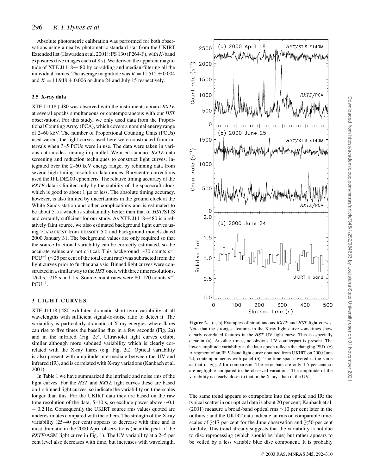Absolute photometric calibration was performed for both observations using a nearby photometric standard star from the UKIRT Extended list (Hawarden et al. 2001): FS 130 (P264-F), with *K*-band exposures (five images each of 8 s). We derived the apparent magnitude of XTE J1118+480 by co-adding and median-filtering all the individual frames. The average magnitude was  $K = 11.512 \pm 0.004$ and  $K = 11.948 \pm 0.006$  on June 24 and July 15 respectively.

## **2.5 X-ray data**

XTE J1118+480 was observed with the instruments aboard *RXTE* at several epochs simultaneous or contemporaneous with our *HST* observations. For this study, we only used data from the Proportional Counting Array (PCA), which covers a nominal energy range of 2–60 keV. The number of Proportional Counting Units (PCUs) used varied; the light curves used here were constructed from intervals when 3–5 PCUs were in use. The data were taken in various data modes running in parallel. We used standard *RXTE* data screening and reduction techniques to construct light curves, integrated over the 2–60 keV energy range, by rebinning data from several high-timing-resolution data modes. Barycentre corrections used the JPL DE200 ephemeris. The relative timing accuracy of the *RXTE* data is limited only by the stability of the spacecraft clock which is good to about 1 µs or less. The absolute timing accuracy, however, is also limited by uncertainties in the ground clock at the White Sands station and other complications and is estimated to be about 5 µs which is substantially better than that of *HST*/STIS and certainly sufficient for our study. As XTE J1118+480 is a relatively faint source, we also estimated background light curves using PCABACKEST from HEASOFT 5.0 and background models dated 2000 January 31. The background values are only required so that the source fractional variability can be correctly estimated, so the accurate values are not critical. This background  $\sim$ 30 counts s<sup>-1</sup>  $PCU^{-1}$  ( $\sim$ 25 per cent of the total count rate) was subtracted from the light curves prior to further analysis. Binned light curves were constructed in a similar way to the*HST* ones, with three time resolutions,  $1/64$  s,  $1/16$  s and 1 s. Source count rates were 80–120 counts s<sup>-1</sup>  $PCU^{-1}$ .

# **3 LIGHT CURVES**

XTE J1118+480 exhibited dramatic short-term variability at all wavelengths with sufficient signal-to-noise ratio to detect it. The variability is particularly dramatic at X-ray energies where flares can rise to five times the baseline flux in a few seconds (Fig. 2a) and in the infrared (Fig. 2c). Ultraviolet light curves exhibit similar although more subdued variability which is clearly correlated with the X-ray flares (e.g. Fig. 2a). Optical variability is also present with amplitude intermediate between the UV and infrared (IR), and is correlated with X-ray variations (Kanbach et al. 2001).

In Table 1 we have summarized the intrinsic and noise rms of the light curves. For the *HST* and *RXTE* light curves these are based on 1 s binned light curves, so indicate the variability on time-scales longer than this. For the UKIRT data they are based on the raw time resolution of the data, 5–10 s, so exclude power above ∼0.1 − 0.2 Hz. Consequently the UKIRT source rms values quoted are underestimates compared with the others. The strength of the X-ray variability (25–40 per cent) appears to decrease with time and is most dramatic in the 2000 April observations (near the peak of the *RXTE*/ASM light curve in Fig. 1). The UV variability at a 2–5 per cent level also decreases with time, but increases with wavelength.



**Figure 2.** (a, b) Examples of simultaneous *RXTE* and *HST* light curves. Note that the strongest features in the X-ray light curve sometimes show clearly correlated features in the *HST* UV light curve. This is especially clear in (a). At other times, no obvious UV counterpart is present. The lower-amplitude variability at the later epoch reflects the changing PSD. (c) A segment of an IR *K*-band light curve obtained from UKIRT on 2000 June 24, contemporaneous with panel (b). The time-span covered is the same as that in Fig. 2 for comparison. The error bars are only 1.5 per cent so are negligible compared to the observed variations. The amplitude of the variability is clearly closer to that in the X-rays than in the UV.

The same trend appears to extrapolate into the optical and IR: the typical scatter in our optical data is about 20 per cent; Kanbach et al. (2001) measure a broad-band optical rms ∼10 per cent later in the outburst; and the UKIRT data indicate an rms on comparable timescales of  $\geq 17$  per cent for the June observation and  $\geq 50$  per cent for July. This trend already suggests that the variability is not due to disc reprocessing (which should be blue) but rather appears to be veiled by a less variable blue disc component. It is probably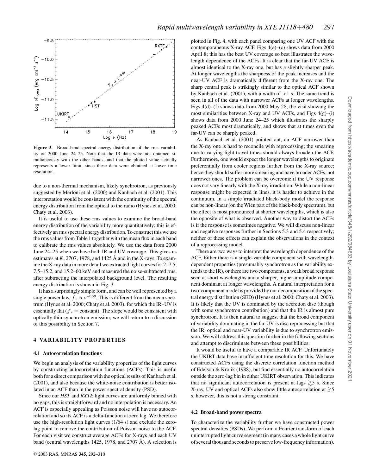

**Figure 3.** Broad-band spectral energy distribution of the rms variability on 2000 June 24–25. Note that the IR data were not obtained simultaneously with the other bands, and that the plotted value actually represents a lower limit, since these data were obtained at lower time resolution.

due to a non-thermal mechanism, likely synchrotron, as previously suggested by Merloni et al. (2000) and Kanbach et al. (2001). This interpretation would be consistent with the continuity of the spectral energy distribution from the optical to the radio (Hynes et al. 2000; Chaty et al. 2003).

It is useful to use these rms values to examine the broad-band energy distribution of the variability more quantitatively; this is effectively an rms spectral energy distribution. To construct this we use the rms values from Table 1 together with the mean flux in each band to calibrate the rms values absolutely. We use the data from 2000 June 24–25 when we have both IR and UV coverage. This gives us estimates at  $K$ , 2707, 1978, and 1425  $\AA$  and in the X-rays. To examine the X-ray data in more detail we extracted light curves for 2–7.5, 7.5–15.2, and 15.2–60 keV and measured the noise-subtracted rms, after subtracting the interpolated background level. The resulting energy distribution is shown in Fig. 3.

It has a surprisingly simple form, and can be well represented by a single power law,  $\hat{f}_v \propto v^{-0.59}$ . This is different from the mean spectrum (Hynes et al. 2000; Chaty et al. 2003), for which the IR–UV is essentially flat ( $f_v$  = constant). The slope would be consistent with optically thin synchrotron emission; we will return to a discussion of this possibility in Section 7.

# **4 VARIABILITY PROPERTIES**

### **4.1 Autocorrelation functions**

We begin an analysis of the variability properties of the light curves by constructing autocorrelation functions (ACFs). This is useful both for a direct comparison with the optical results of Kanbach et al. (2001), and also because the white-noise contribution is better isolated in an ACF than in the power spectral density (PSD).

Since our *HST* and *RXTE* light curves are uniformly binned with no gaps, this is straightforward and no interpolation is necessary. An ACF is especially appealing as Poisson noise will have no autocorrelation and so its ACF is a delta-function at zero lag. We therefore use the high-resolution light curves (1/64 s) and exclude the zerolag point to remove the contribution of Poisson noise to the ACF. For each visit we construct average ACFs for X-rays and each UV band (central wavelengths 1425, 1978, and 2707  $\AA$ ). A selection is plotted in Fig. 4, with each panel comparing one UV ACF with the contemporaneous X-ray ACF. Figs 4(a)–(c) shows data from 2000 April 8; this has the best UV coverage so best illustrates the wavelength dependence of the ACFs. It is clear that the far-UV ACF is almost identical to the X-ray one, but has a slightly sharper peak. At longer wavelengths the sharpness of the peak increases and the near-UV ACF is dramatically different from the X-ray one. The sharp central peak is strikingly similar to the optical ACF shown by Kanbach et al. (2001), with a width of  $\langle 1 \rangle$  s. The same trend is seen in all of the data with narrower ACFs at longer wavelengths. Figs 4(d)–(f) shows data from 2000 May 28, the visit showing the most similarities between X-ray and UV ACFs, and Figs 4(g)–(i) shows data from 2000 June 24–25 which illustrates the sharply peaked ACFs most dramatically, and shows that at times even the far-UV can be sharply peaked.

As Kanbach et al. (2001) pointed out, an ACF narrower than the X-ray one is hard to reconcile with reprocessing; the smearing due to varying light travel times should always broaden the ACF. Furthermore, one would expect the longer wavelengths to originate preferentially from cooler regions further from the X-ray source; hence they should suffer more smearing and have broader ACFs, not narrower ones. The problem can be overcome if the UV response does not vary linearly with the X-ray irradiation. While a non-linear response might be expected in lines, it is harder to achieve in the continuum. In a simple irradiated black-body model the response can be non-linear (on the Wien part of the black-body spectrum), but the effect is most pronounced at shorter wavelengths, which is also the opposite of what is observed. Another way to distort the ACFs is if the response is sometimes negative. We will discuss non-linear and negative responses further in Sections 5.3 and 5.4 respectively; neither of these effects can explain the observations in the context of a reprocessing model.

There are two ways to interpret the wavelength dependence of the ACF. Either there is a single-variable component with wavelengthdependent properties (presumably synchrotron as the variability extends to the IR), or there are two components, a weak broad response seen at short wavelengths and a sharper, higher-amplitude component dominant at longer wavelengths. A natural interpretation for a two-component model is provided by our decomposition of the spectral energy distribution (SED) (Hynes et al. 2000; Chaty et al. 2003). It is likely that the UV is dominated by the accretion disc (though with some synchrotron contribution) and that the IR is almost pure synchrotron. It is then natural to suggest that the broad component of variability dominating in the far-UV is disc reprocessing but that the IR, optical and near-UV variability is due to synchrotron emission. We will address this question further in the following sections and attempt to discriminate between these possibilities.

It would be useful to have a comparable IR ACF. Unfortunately the UKIRT data have insufficient time resolution for this. We have constructed ACFs using the discrete correlation function method of Edelson & Krolik (1988), but find essentially no autocorrelation outside the zero-lag bin in either UKIRT observation. This indicates that no significant autocorrelation is present at lags  $\geq$  5 s. Since X-ray, UV and optical ACFs also show little autocorrelation at  $\gtrsim 5$ s, however, this is not a strong constraint.

#### **4.2 Broad-band power spectra**

To characterize the variability further we have constructed power spectral densities (PSDs). We perform a Fourier transform of each uninterrupted light curve segment (in many cases a whole light curve of several thousand seconds to preserve low-frequency information).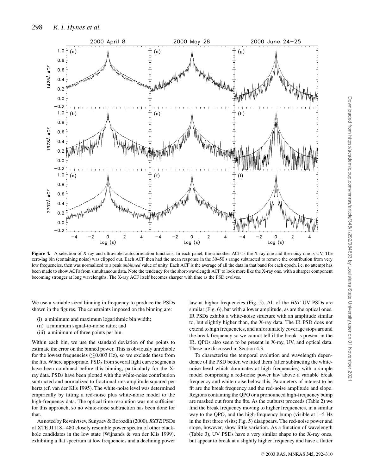

**Figure 4.** A selection of X-ray and ultraviolet autocorrelation functions. In each panel, the smoother ACF is the X-ray one and the noisy one is UV. The zero-lag bin (containing noise) was clipped out. Each ACF then had the mean response in the 30–50 s range subtracted to remove the contribution from very low frequencies, then was normalized to a peak *unbinned* value of unity. Each ACF is the average of all the data in that band for each epoch, i.e. no attempt has been made to show ACFs from simultaneous data. Note the tendency for the short-wavelength ACF to look more like the X-ray one, with a sharper component becoming stronger at long wavelengths. The X-ray ACF itself becomes sharper with time as the PSD evolves.

We use a variable sized binning in frequency to produce the PSDs shown in the figures. The constraints imposed on the binning are:

- (i) a minimum and maximum logarithmic bin width;
- (ii) a minimum signal-to-noise ratio; and
- (iii) a minimum of three points per bin.

Within each bin, we use the standard deviation of the points to estimate the error on the binned power. This is obviously unreliable for the lowest frequencies  $(\leq 0.003 \text{ Hz})$ , so we exclude these from the fits. Where appropriate, PSDs from several light curve segments have been combined before this binning, particularly for the Xray data. PSDs have been plotted with the white-noise contribution subtracted and normalized to fractional rms amplitude squared per hertz (cf. van der Klis 1995). The white-noise level was determined empirically by fitting a red-noise plus white-noise model to the high-frequency data. The optical time resolution was not sufficient for this approach, so no white-noise subtraction has been done for that.

As noted by Revnivtsev, Sunyaev & Borozdin (2000),*RXTE* PSDs of XTE J1118+480 closely resemble power spectra of other blackhole candidates in the low state (Wijnands & van der Klis 1999), exhibiting a flat spectrum at low frequencies and a declining power

law at higher frequencies (Fig. 5). All of the *HST* UV PSDs are similar (Fig. 6), but with a lower amplitude, as are the optical ones. IR PSDs exhibit a white-noise structure with an amplitude similar to, but slightly higher than, the X-ray data. The IR PSD does not extend to high frequencies, and unfortunately coverage stops around the break frequency so we cannot tell if the break is present in the IR. QPOs also seem to be present in X-ray, UV, and optical data. These are discussed in Section 4.3.

To characterize the temporal evolution and wavelength dependence of the PSD better, we fitted them (after subtracting the whitenoise level which dominates at high frequencies) with a simple model comprising a red-noise power law above a variable break frequency and white noise below this. Parameters of interest to be fit are the break frequency and the red-noise amplitude and slope. Regions containing the QPO or a pronounced high-frequency bump are masked out from the fits. As the outburst proceeds (Table 2) we find the break frequency moving to higher frequencies, in a similar way to the QPO, and the high-frequency bump (visible at 1–5 Hz in the first three visits; Fig. 5) disappears. The red-noise power and slope, however, show little variation. As a function of wavelength (Table 3), UV PSDs have a very similar shape to the X-ray ones, but appear to break at a slightly higher frequency and have a flatter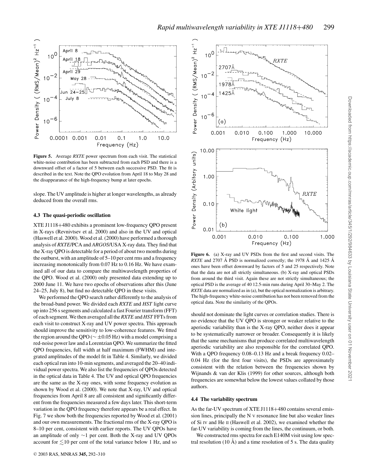

**Figure 5.** Average *RXTE* power spectrum from each visit. The statistical white-noise contribution has been subtracted from each PSD and there is a downward offset of a factor of 5 between each successive PSD. The fit is described in the text. Note the QPO evolution from April 18 to May 28 and the disappearance of the high-frequency bump at later epochs.

slope. The UV amplitude is higher at longer wavelengths, as already deduced from the overall rms.

#### **4.3 The quasi-periodic oscillation**

XTE J1118+480 exhibits a prominent low-frequency QPO present in X-rays (Revnivtsev et al. 2000) and also in the UV and optical (Haswell et al. 2000). Wood et al. (2000) have performed a thorough analysis of *RXTE*/PCA and *ARGOS*/USA X-ray data. They find that the X-ray QPO is detectable for a period of about two months during the outburst, with an amplitude of 5–10 per cent rms and a frequency increasing monotonically from 0.07 Hz to 0.16 Hz. We have examined all of our data to compare the multiwavelength properties of the QPO. Wood et al. (2000) only presented data extending up to 2000 June 11. We have two epochs of observations after this (June 24–25, July 8), but find no detectable QPO in these visits.

We performed the QPO search rather differently to the analysis of the broad-band power. We divided each *RXTE* and *HST* light curve up into 256 s segments and calculated a fast Fourier transform (FFT) of each segment. We then averaged all the *RXTE* and *HST* FFTs from each visit to construct X-ray and UV power spectra. This approach should improve the sensitivity to low-coherence features. We fitted the region around the QPO ( $\sim \pm 0.05$  Hz) with a model comprising a red-noise power law and a Lorentzian QPO. We summarize the fitted QPO frequencies, full width at half maximum (FWHM) and integrated amplitudes of the model fit in Table 4. Similarly, we divided each optical run into 10-min segments, and averaged the 20–40 individual power spectra. We also list the frequencies of QPOs detected in the optical data in Table 4. The UV and optical QPO frequencies are the same as the X-ray ones, with some frequency evolution as shown by Wood et al. (2000). We note that X-ray, UV and optical frequencies from April 8 are all consistent and significantly different from the frequencies measured a few days later. This short-term variation in the QPO frequency therefore appears be a real effect. In Fig. 7 we show both the frequencies reported by Wood et al. (2001) and our own measurements. The fractional rms of the X-ray QPO is 8–10 per cent, consistent with earlier reports. The UV QPOs have an amplitude of only ∼1 per cent. Both the X-ray and UV QPOs account for  $\leq 10$  per cent of the total variance below 1 Hz, and so



**Figure 6.** (a) X-ray and UV PSDs from the first and second visits. The *RXTE* and 2707 Å PSD is normalized correctly; the 1978 Å and 1425 Å ones have been offset downward by factors of 5 and 25 respectively. Note that the data are not all strictly simultaneous. (b) X-ray and optical PSDs from around the third visit. Again these are not strictly simultaneous; the optical PSD is the average of 40 12.5-min runs during April 30–May 2. The *RXTE* data are normalized as in (a), but the optical normalization is arbitrary. The high-frequency white-noise contribution has not been removed from the optical data. Note the similarity of the QPOs.

should not dominate the light curves or correlation studies. There is no evidence that the UV QPO is stronger or weaker relative to the aperiodic variability than is the X-ray QPO, neither does it appear to be systematically narrower or broader. Consequently it is likely that the same mechanisms that produce correlated multiwavelength aperiodic variability are also responsible for the correlated QPO. With a QPO frequency 0.08–0.13 Hz and a break frequency 0.02– 0.04 Hz (for the first four visits), the PSDs are approximately consistent with the relation between the frequencies shown by Wijnands & van der Klis (1999) for other sources, although both frequencies are somewhat below the lowest values collated by those authors.

## **4.4 The variability spectrum**

As the far-UV spectrum of XTE J1118+480 contains several emission lines, principally the N V resonance line but also weaker lines of Si IV and He II (Haswell et al. 2002), we examined whether the far-UV variability is coming from the lines, the continuum, or both.

We constructed rms spectra for each E140M visit using low spectral resolution (10  $\AA$ ) and a time resolution of 5 s. The data quality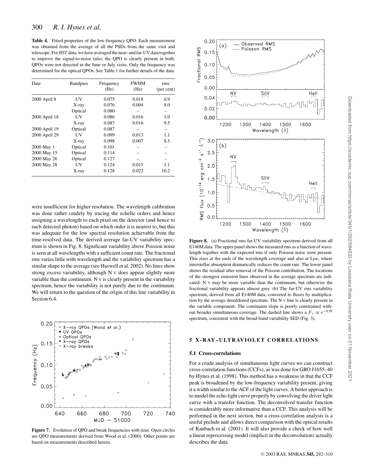**Table 4.** Fitted properties of the low-frequency QPO. Each measurement was obtained from the average of all the PSDs from the same visit and telescope. For *HST* data, we have averaged the near- and far-UV data together to improve the signal-to-noise ratio; the QPO is clearly present in both. QPOs were not detected in the June or July visits. Only the frequency was determined for the optical QPOs. See Table 1 for further details of the data.

| Date          | <b>Bandpass</b> | Frequency<br>(Hz) | <b>FWHM</b><br>(Hz) | rms<br>(per cent) |
|---------------|-----------------|-------------------|---------------------|-------------------|
| 2000 April 8  | UV              | 0.075             | 0.018               | 0.9               |
|               | X-ray           | 0.076             | 0.004               | 8.0               |
|               | Optical         | 0.080             |                     |                   |
| 2000 April 18 | UV              | 0.086             | 0.016               | 1.0               |
|               | X-ray           | 0.087             | 0.016               | 9.5               |
| 2000 April 19 | Optical         | 0.087             |                     |                   |
| 2000 April 29 | UV              | 0.099             | 0.013               | 1.1               |
|               | X-ray           | 0.098             | 0.007               | 8.5               |
| 2000 May 1    | Optical         | 0.101             |                     |                   |
| 2000 May 15   | Optical         | 0.114             |                     |                   |
| 2000 May 26   | Optical         | 0.127             |                     |                   |
| 2000 May 28   | UV              | 0.124             | 0.015               | 1.1               |
|               | X-ray           | 0.128             | 0.022               | 10.2              |

were insufficient for higher resolution. The wavelength calibration was done rather crudely by tracing the echelle orders and hence assigning a wavelength to each pixel on the detector (and hence to each detected photon) based on which order it is nearest to, but this was adequate for the low spectral resolution achievable from the time-resolved data. The derived average far-UV variability spectrum is shown in Fig. 8. Significant variability above Poisson noise is seen at all wavelengths with a sufficient count rate. The fractional rms varies little with wavelength and the variability spectrum has a similar shape to the average (see Haswell et al. 2002). No lines show strong excess variability, although N V does appear slightly more variable than the continuum. N V is clearly present in the variability spectrum, hence the variability is not purely due to the continuum. We will return to the question of the origin of this line variability in Section 6.4.



Figure 7. Evolution of QPO and break frequencies with time. Open circles are QPO measurements derived from Wood et al. (2000). Other points are based on measurements described herein.



Figure 8. (a) Fractional rms far-UV variability spectrum derived from all E140M data. The upper panel shows the measured rms as a function of wavelength together with the expected rms if only Poisson noise were present. This rises at the ends of the wavelength coverage and also at  $Ly\alpha$ , where interstellar absorption dramatically reduces the count rate. The lower panel shows the residual after removal of the Poisson contribution. The locations of the strongest emission lines observed in the average spectrum are indicated; N V may be more variable than the continuum, but otherwise the fractional variability appears almost grey. (b) The far-UV rms variability spectrum, derived from all E140M data, converted to fluxes by multiplication by the average dereddened spectrum. The N V line is clearly present in the variable component. The continuum slope is poorly constrained without broader simultaneous coverage. The dashed line shows a  $F_v \propto v^{-0.59}$ spectrum, consistent with the broad-band variability SED (Fig. 3).

# **5 X - R AY – U LT R AV I O L E T C O R R E L AT I O N S**

## **5.1 Cross-correlations**

For a crude analysis of simultaneous light curves we can construct cross-correlation functions (CCFs), as was done for GRO J1655–40 by Hynes et al. (1998). This method has a weakness in that the CCF peak is broadened by the low-frequency variability present, giving it a width similar to the ACF of the light curves. A better approach is to model the echo light curve properly by convolving the driver light curve with a transfer function. The deconvolved transfer function is considerably more informative than a CCF. This analysis will be performed in the next section, but a cross-correlation analysis is a useful prelude and allows direct comparison with the optical results of Kanbach et al. (2001). It will also provide a check of how well a linear reprocessing model (implicit in the deconvolution) actually describes the data.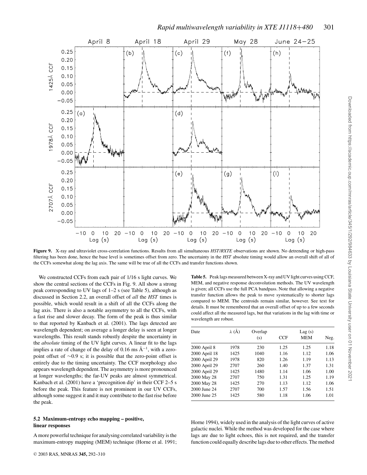

**Figure 9.** X-ray and ultraviolet cross-correlation functions. Results from all simultaneous *HST*/*RXTE* observations are shown. No detrending or high-pass filtering has been done, hence the base level is sometimes offset from zero. The uncertainty in the *HST* absolute timing would allow an overall shift of all of the CCFs somewhat along the lag axis. The same will be true of all the CCFs and transfer functions shown.

We constructed CCFs from each pair of 1/16 s light curves. We show the central sections of the CCFs in Fig. 9. All show a strong peak corresponding to UV lags of 1–2 s (see Table 5), although as discussed in Section 2.2, an overall offset of *all* the *HST* times is possible, which would result in a shift of all the CCFs along the lag axis. There is also a notable asymmetry to all the CCFs, with a fast rise and slower decay. The form of the peak is thus similar to that reported by Kanbach et al. (2001). The lags detected are wavelength dependent; on average a longer delay is seen at longer wavelengths. This result stands robustly despite the uncertainty in the *absolute* timing of the UV light curves. A linear fit to the lags implies a rate of change of the delay of 0.16 ms  $\AA^{-1}$ , with a zeropoint offset of ∼0.9 s; it is possible that the zero-point offset is entirely due to the timing uncertainty. The CCF morphology also appears wavelength dependent. The asymmetry is more pronounced at longer wavelengths; the far-UV peaks are almost symmetrical. Kanbach et al. (2001) have a 'precognition dip' in their CCF 2–5 s before the peak. This feature is not prominent in our UV CCFs, although some suggest it and it may contribute to the fast rise before the peak.

## **5.2 Maximum-entropy echo mapping – positive, linear responses**

A more powerful technique for analysing correlated variability is the maximum-entropy mapping (MEM) technique (Horne et al. 1991; **Table 5.** Peak lags measured between X-ray and UV light curves using CCF, MEM, and negative response deconvolution methods. The UV wavelength is given; all CCFs use the full PCA bandpass. Note that allowing a negative transfer function allows the peak to move systematically to shorter lags compared to MEM. The centroids remain similar, however. See text for details. It must be remembered that an overall offset of up to a few seconds could affect all the measured lags, but that variations in the lag with time or wavelength are robust.

| Date          | $\lambda$ (Å) | Overlap |      | Lag(s)     |      |
|---------------|---------------|---------|------|------------|------|
|               |               | (s)     | CCF  | <b>MEM</b> | Neg. |
| 2000 April 8  | 1978          | 230     | 1.25 | 1.25       | 1.18 |
| 2000 April 18 | 1425          | 1040    | 1.16 | 1.12       | 1.06 |
| 2000 April 29 | 1978          | 820     | 1.26 | 1.19       | 1.13 |
| 2000 April 29 | 2707          | 260     | 1.40 | 1.37       | 1.31 |
| 2000 April 29 | 1425          | 1480    | 1.14 | 1.06       | 1.00 |
| 2000 May 28   | 2707          | 750     | 1.31 | 1.25       | 1.19 |
| 2000 May 28   | 1425          | 270     | 1.13 | 1.12       | 1.06 |
| 2000 June 24  | 2707          | 700     | 1.57 | 1.56       | 1.51 |
| 2000 June 25  | 1425          | 580     | 1.18 | 1.06       | 1.01 |

Horne 1994), widely used in the analysis of the light curves of active galactic nuclei. While the method was developed for the case where lags are due to light echoes, this is not required, and the transfer function could equally describe lags due to other effects. The method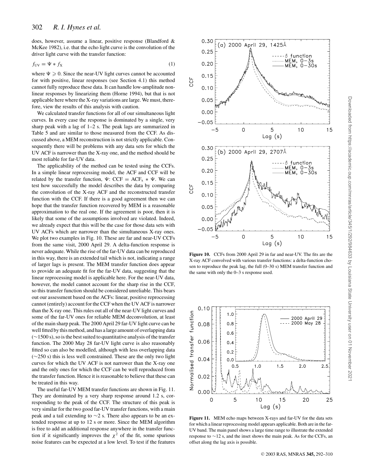does, however, assume a linear, positive response (Blandford & McKee 1982), i.e. that the echo light curve is the convolution of the driver light curve with the transfer function:

$$
f_{\rm UV} = \Psi * f_{\rm X} \tag{1}
$$

where  $\Psi \geq 0$ . Since the near-UV light curves cannot be accounted for with positive, linear responses (see Section 4.1) this method cannot fully reproduce these data. It can handle low-amplitude nonlinear responses by linearizing them (Horne 1994), but that is not applicable here where the X-ray variations are large. We must, therefore, view the results of this analysis with caution.

We calculated transfer functions for all of our simultaneous light curves. In every case the response is dominated by a single, very sharp peak with a lag of 1–2 s. The peak lags are summarized in Table 5 and are similar to those measured from the CCF. As discussed above, a MEM reconstruction is not strictly applicable. Consequently there will be problems with any data sets for which the UV ACF is narrower than the X-ray one, and the method should be most reliable for far-UV data.

The applicability of the method can be tested using the CCFs. In a simple linear reprocessing model, the ACF and CCF will be related by the transfer function,  $\Psi$ : CCF = ACF<sub>x</sub>  $*$   $\Psi$ . We can test how successfully the model describes the data by comparing the convolution of the X-ray ACF and the reconstructed transfer function with the CCF. If there is a good agreement then we can hope that the transfer function recovered by MEM is a reasonable approximation to the real one. If the agreement is poor, then it is likely that some of the assumptions involved are violated. Indeed, we already expect that this will be the case for those data sets with UV ACFs which are narrower than the simultaneous X-ray ones. We plot two examples in Fig. 10. These are far and near-UV CCFs from the same visit, 2000 April 29. A delta-function response is never adequate. While the rise of the far-UV data can be reproduced in this way, there is an extended tail which is not, indicating a range of larger lags is present. The MEM transfer function does appear to provide an adequate fit for the far-UV data, suggesting that the linear reprocessing model is applicable here. For the near-UV data, however, the model cannot account for the sharp rise in the CCF, so this transfer function should be considered unreliable. This bears out our assessment based on the ACFs: linear, positive reprocessing cannot (entirely) account for the CCF when the UV ACF is narrower than the X-ray one. This rules out all of the near-UV light curves and some of the far-UV ones for reliable MEM deconvolution, at least of the main sharp peak. The 2000 April 29 far-UV light curve can be well fitted by this method, and has a large amount of overlapping data (∼1500 s), so is the best suited to quantitative analysis of the transfer function. The 2000 May 28 far-UV light curve is also reasonably fitted so can also be modelled, although with less overlapping data (∼250 s) this is less well constrained. These are the only two light curves for which the UV ACF is not narrower than the X-ray one and the only ones for which the CCF can be well reproduced from the transfer function. Hence it is reasonable to believe that these can be treated in this way.

The useful far-UV MEM transfer functions are shown in Fig. 11. They are dominated by a very sharp response around 1.2 s, corresponding to the peak of the CCF. The structure of this peak is very similar for the two good far-UV transfer functions, with a main peak and a tail extending to ∼2 s. There also appears to be an extended response at up to 12 s or more. Since the MEM algorithm is free to add an additional response anywhere in the transfer function if it significantly improves the  $\chi^2$  of the fit, some spurious noise features can be expected at a low level. To test if the features



**Figure 10.** CCFs from 2000 April 29 in far and near-UV. The fits are the X-ray ACF convolved with various transfer functions: a delta-function chosen to reproduce the peak lag, the full (0–30 s) MEM transfer function and the same with only the 0–3 s response used.



**Figure 11.** MEM echo maps between X-rays and far-UV for the data sets for which a linear reprocessing model appears applicable. Both are in the far-UV band. The main panel shows a large time range to illustrate the extended response to ∼12 s, and the inset shows the main peak. As for the CCFs, an offset along the lag axis is possible.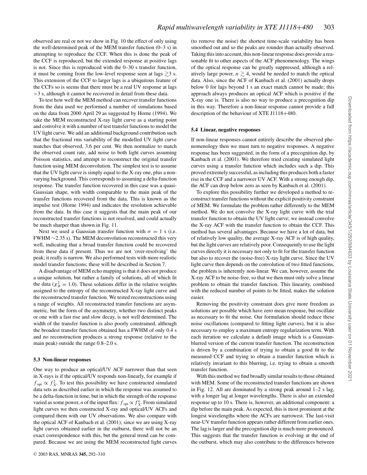observed are real or not we show in Fig. 10 the effect of only using the well-determined peak of the MEM transfer function (0–3 s) in attempting to reproduce the CCF. When this is done the peak of the CCF is reproduced, but the extended response at positive lags is not. Since this is reproduced with the 0–30 s transfer function, it must be coming from the low-level response seen at lags  $\geq 3$  s. This extension of the CCF to larger lags is a ubiquitous feature of the CCFs so is seems that there must be a real UV response at lags >3 s, although it cannot be recovered in detail from these data.

To test how well the MEM method can recover transfer functions from the data used we performed a number of simulations based on the data from 2000 April 29 as suggested by Horne (1994). We take the MEM reconstructed X-ray light curve as a starting point and convolve it with a number of test transfer functions to model the UV light curve. We add an additional background contribution such that the fractional rms variability of the modelled UV light curve matches that observed, 3.6 per cent. We then normalize to match the observed count rate, add noise to both light curves assuming Poisson statistics, and attempt to reconstruct the original transfer function using MEM deconvolution. The simplest test is to assume that the UV light curve is simply equal to the X-ray one, plus a nonvarying background. This corresponds to assuming a delta-function response. The transfer function recovered in this case was a quasi-Gaussian shape, with width comparable to the main peak of the transfer functions recovered from the data. This is known as the impulse test (Horne 1994) and indicates the resolution achievable from the data. In this case it suggests that the main peak of our reconstructed transfer functions is not resolved, and could actually be much sharper than shown in Fig. 11.

Next we used a Gaussian transfer function with  $\sigma = 1$  s (i.e. FWHM  $\sim$ 2.35 s). The MEM deconvolution reconstructed this very well, indicating that a broad transfer function could be recovered from these data if present. Thus we are not 'over-resolving' the peak; it really is narrow. We also performed tests with more realistic model transfer functions; these will be described in Section 7.

A disadvantage of MEM echo mapping is that it does not produce a unique solution, but rather a family of solutions, all of which fit the data ( $\chi^2_R = 1.0$ ). These solutions differ in the relative weights assigned to the entropy of the reconstructed X-ray light curve and the reconstructed transfer function. We tested reconstructions using a range of weights. All reconstructed transfer functions are asymmetric, but the form of the asymmetry, whether two distinct peaks or one with a fast rise and slow decay, is not well determined. The width of the transfer function is also poorly constrained, although the broadest transfer function obtained has a FWHM of only 0.4 s and no reconstruction produces a strong response (relative to the main peak) outside the range 0.8–2.0 s.

# **5.3 Non-linear responses**

One way to produce an optical/UV ACF narrower than that seen in X-rays is if the optical/UV responds non-linearly, for example if  $f_{\text{opt}} \propto f_{\text{X}}^2$ . To test this possibility we have constructed simulated data sets as described earlier in which the response was assumed to be a delta-function in time, but in which the strength of the response varied as some power, *n* of the input flux:  $f_{opt} \propto f_X^n$ . From simulated light curves we then constructed X-ray and optical/UV ACFs and compared them with our UV observations. We also compare with the optical ACF of Kanbach et al. (2001); since we are using X-ray light curves obtained earlier in the outburst, there will not be an exact correspondence with this, but the general trend can be compared. Because we are using the MEM reconstructed light curves (to remove the noise) the shortest time-scale variability has been smoothed out and so the peaks are rounder than actually observed. Taking this into account, this non-linear response does provide a reasonable fit to other aspects of the ACF phenomenology. The wings of the optical response can be greatly suppressed, although a relatively large power,  $n \geq 4$ , would be needed to match the optical data. Also, since the ACF of Kanbach et al. (2001) actually drops below 0 for lags beyond 1 s an exact match cannot be made; this approach always produces an optical ACF which is positive if the X-ray one is. There is also no way to produce a precognition dip in this way. Therefore a non-linear response cannot provide a full description of the behaviour of XTE J1118+480.

## **5.4 Linear, negative responses**

If non-linear responses cannot entirely describe the observed phenomenology then we must turn to negative responses. A negative response has been suggested, in the form of a precognition dip, by Kanbach et al. (2001). We therefore tried creating simulated light curves using a transfer function which includes such a dip. This proved extremely successful, as including this produces both a faster rise in the CCF and a narrower UV ACF. With a strong enough dip, the ACF can drop below zero as seen by Kanbach et al. (2001).

To explore this possibility further we developed a method to reconstruct transfer functions without the explicit positivity constraint of MEM. We formulate the problem rather differently to the MEM method. We do not convolve the X-ray light curve with the trial transfer function to obtain the UV light curve; we instead convolve the X-ray ACF with the transfer function to obtain the CCF. This method has several advantages. Because we have a lot of data, but of relatively low quality, the average X-ray ACF is of high quality, but the light curves are relatively poor. Consequently to use the light curves directly it is necessary not only to fit for the transfer function but also to recover the (noise-free) X-ray light curve. Since the UV light curve then depends on the convolution of two fitted functions, the problem is inherently non-linear. We can, however, assume the X-ray ACF to be noise-free, so that we then must only solve a linear problem to obtain the transfer function. This linearity, combined with the reduced number of points to be fitted, makes the solution easier.

Removing the positivity constraint does give more freedom as solutions are possible which have zero mean response, but oscillate as necessary to fit the noise. Our formulation should reduce these noise oscillations (compared to fitting light curves), but it is also necessary to employ a maximum entropy regularization term. With each iteration we calculate a default image which is a Gaussianblurred version of the current transfer function. The reconstruction is driven by a combination of trying to obtain a good fit to the measured CCF and trying to obtain a transfer function which is relatively invariant to this blurring, i.e. trying to obtain a smooth transfer function.

With this method we find broadly similar results to those obtained with MEM. Some of the reconstructed transfer functions are shown in Fig. 12. All are dominated by a strong peak around 1–2 s lag, with a longer lag at longer wavelengths. There is also an extended response up to 10 s. There is, however, an additional component: a dip before the main peak. As expected, this is most prominent at the longest wavelengths where the ACFs are narrowest. The last-visit near-UV transfer function appears rather different from earlier ones. The lag is larger and the precognition dip is much more pronounced. This suggests that the transfer function is evolving at the end of the outburst, which may also contribute to the differences between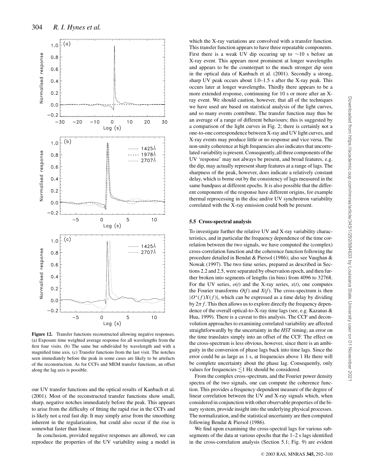

**Figure 12.** Transfer functions reconstructed allowing negative responses. (a) Exposure time weighted average response for all wavelengths from the first four visits. (b) The same but subdivided by wavelength and with a magnified time axis. (c) Transfer functions from the last visit. The notches seen immediately before the peak in some cases are likely to be artefacts of the reconstruction. As for CCFs and MEM transfer functions, an offset along the lag axis is possible.

our UV transfer functions and the optical results of Kanbach et al. (2001). Most of the reconstructed transfer functions show small, sharp, negative notches immediately before the peak. This appears to arise from the difficulty of fitting the rapid rise in the CCFs and is likely not a real fast dip. It may simply arise from the smoothing inherent in the regularization, but could also occur if the rise is somewhat faster than linear.

In conclusion, provided negative responses are allowed, we can reproduce the properties of the UV variability using a model in

which the X-ray variations are convolved with a transfer function. This transfer function appears to have three repeatable components. First there is a weak UV dip occuring up to  $\sim$ 10 s before an X-ray event. This appears most prominent at longer wavelengths and appears to be the counterpart to the much stronger dip seen in the optical data of Kanbach et al. (2001). Secondly a strong, sharp UV peak occurs about 1.0–1.5 s after the X-ray peak. This occurs later at longer wavelengths. Thirdly there appears to be a more extended response, continuuing for 10 s or more after an Xray event. We should caution, however, that all of the techniques we have used are based on statistical analysis of the light curves, and so many events contribute. The transfer function may thus be an average of a range of different behaviours; this is suggested by a comparison of the light curves in Fig. 2; there is certainly not a one-to-one correspondence between X-ray and UV light curves, and X-ray events may produce little or no response and vice versa. The non-unity coherence at high frequencies also indicates that uncorrelated variability is present. Consequently, all three components of the UV 'response' may not always be present, and broad features, e.g. the dip, may actually represent sharp features at a range of lags. The sharpness of the peak, however, does indicate a relatively constant delay, which is borne out by the consistency of lags measured in the same bandpass at different epochs. It is also possible that the different components of the response have different origins, for example thermal reprocessing in the disc and/or UV synchrotron variability correlated with the X-ray emission could both be present.

## **5.5 Cross-spectral analysis**

To investigate further the relative UV and X-ray variability characteristics, and in particular the frequency dependence of the time correlation between the two signals, we have computed the (complex) cross-correlation function and the coherence function following the procedure detailed in Bendat & Piersol (1986); also see Vaughan & Nowak (1997). The two time series, prepared as described in Sections 2.2 and 2.5, were separated by observation epoch, and then further broken into segments of lengths (in bins) from 4096 to 32768. For the UV series,  $o(t)$  and the X-ray series,  $x(t)$ , one computes the Fourier transforms  $O(f)$  and  $X(f)$ . The cross-spectrum is then  $|O^*(f)X(f)|$ , which can be expressed as a time delay by dividing by  $2\pi f$ . This then allows us to explore directly the frequency dependence of the overall optical-to-X-ray time lags (see, e.g. Kazanas & Hua, 1999). There is a caveat to this analysis. The CCF and deconvolution approaches to examining correlated variability are affected straightforwardly by the uncertainty in the *HST* timing; an error on the time translates simply into an offset of the CCF. The effect on the cross-spectrum is less obvious, however, since there is an ambiguity in the conversion of phase lags back into time lags. Since the error could be as large as 1 s, at frequencies above 1 Hz there will be complete uncertainty about the phase lag. Consequently, only values for frequencies  $\lesssim$ 1 Hz should be considered.

From the complex cross-spectrum, and the Fourier power density spectra of the two signals, one can compute the coherence function. This provides a frequency-dependent measure of the degree of linear correlation between the UV and X-ray signals which, when considered in conjunction with other observable properties of the binary system, provide insight into the underlying physical processes. The normalization, and the statistical uncertainty are then computed following Bendat & Piersol (1986).

We find upon examining the cross-spectral lags for various subsegments of the data at various epochs that the 1–2 s lags identified in the cross-correlation analysis (Section 5.1; Fig. 9) are evident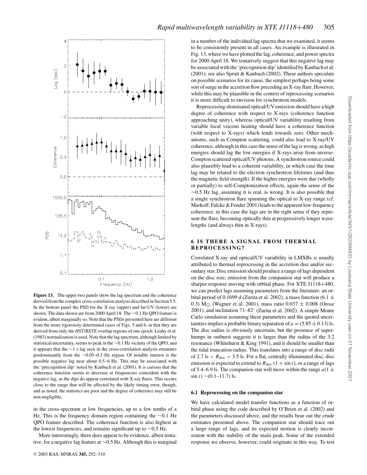

**Figure 13.** The upper two panels show the lag spectrum and the coherence derived from the complex cross-correlation analysis described in Section 5.5. In the bottom panel the PSD for the X-ray (upper) and far-UV (lower) are shown. The data shown are from 2000 April 18. The ∼0.1 Hz QPO feature is evident, albeit marginally so. Note that the PSDs presented here are different from the more rigorously determined cases of Figs. 5 and 6, in that they are derived from only the *HST*/*RXTE* overlap regions of one epoch. Leahy et al. (1983) normalization is used. Note that the lag spectrum, although limited by statistical uncertainty, seems to peak in the ∼0.1 Hz vicinity of the QPO, and it appears that the ∼1 s lag seen in the cross-correlation analysis emanates predominantly from the ∼0.05–0.3 Hz region. Of notable interest is the possible negative lag near about 0.5–6 Hz. This may be associated with the 'precognition dip' noted by Kanbach et al. (2001). It is curious that the coherence function seems to decrease at frequencies coincident with the negative lag, as the dips do appear correlated with X-ray flares. This occurs close to the range that will be affected by the likely timing error, though, and as noted, the statistics are poor and the degree of coherence may still be non-negligible.

in the cross-spectrum at low frequencies, up to a few tenths of a Hz. This is the frequency domain region containing the ∼0.1 Hz QPO feature described. The coherence function is also highest at the lowest frequencies, and remains significant up to ∼0.5 Hz.

More interestingly, there does appear to be evidence, albeit tentative, for a negative lag feature at ∼0.5 Hz. Although this is marginal in a number of the individual lag spectra that we examined, it seems to be consistently present in all cases. An example is illustrated in Fig. 13, where we have plotted the lag, coherence, and power spectra for 2000 April 18. We tentatively suggest that this negative lag may be associated with the 'precognition dip'identified by Kanbach et al. (2001); see also Spruit & Kanbach (2002). These authors speculate on possible scenarios for its cause, the simplest perhaps being some sort of surge in the accretion flow preceding an X-ray flare. However, while this may be plausible in the context of reprocessing scenarios it is more difficult to envision for synchrotron models.

Reprocessing-dominated optical/UV emission should have a high degree of coherence with respect to X-rays (coherence function approaching unity), whereas optical/UV variability resulting from variable local viscous heating should have a coherence function (with respect to X-rays) which tends towards zero. Other mechanisms, such as Compton scattering, could also lead to X-ray/UV coherence, although in this case the sense of the lag is wrong, as high energies should lag the low energies if X-rays arise from inverse-Compton scattered optical/UV photons. A synchrotron source could also plausibly lead to a coherent variability, in which case the time lag may be related to the electron synchrotron lifetimes (and thus the magnetic field strength). If the higher energies were due (wholly or partially) to self-Comptonization effects, again the sense of the ∼0.5 Hz lag, assuming it is real, is wrong. It is also possible that a single synchrotron flare spanning the optical to X-ray range (cf. Markoff, Falcke & Fender 2001) leads to the apparent low-frequency coherence; in this case the lags are in the right sense if they represent the flare, becoming optically thin at progressively longer wavelengths (and always thin in X-rays).

# **6 IS THERE A SIGNAL FROM THERMAL REPROCESSING?**

Correlated X-ray and optical/UV variability in LMXBs is usually attributed to thermal reprocessing in the accretion disc and/or secondary star. Disc emission should produce a range of lags dependent on the disc size; emission from the companion star will produce a sharper response moving with orbital phase. For XTE J1118+480, we can predict lags assuming parameters from the literature: an orbital period of 0.1699 d (Zurita et al. 2002), a mass function (6.1  $\pm$ 0.3) M<sub> $\odot$ </sub> (Wagner et al. 2001), mass ratio 0.037  $\pm$  0.008 (Orosz 2001), and inclination 71–82◦ (Zurita et al. 2002). A simple Monte Carlo simulation assuming these parameters and the quoted uncertainties implies a probable binary separation of  $a = (5.85 \pm 0.13)$  ls. The disc radius is obviously uncertain, but the presence of superhumps in outburst suggests it is larger than the radius of the 3:2 resonance (Whitehurst & King 1991), and it should be smaller than the tidal truncation radius. This translates into a range of disc radii of 2.7 ls  $R_{\text{disc}}$  < 3.5 ls. For a flat, centrally illuminated disc, disc emission is expected to extend to  $R_{disc}$  (1 + sin *i*), or a range of lags of 5.4–6.9 ls. The companion star will move within the range  $a(1 \pm$ sin *i*) ∼(0.1–11.7) ls.

## **6.1 Reprocessing on the companion star**

We have calculated model transfer functions as a function of orbital phase using the code described by O'Brien et al. (2002) and the parameters discussed above, and the results bear out the crude estimates presented above. The companion star should trace out a large range of lags, and its expected motion is clearly inconsistent with the stability of the main peak. Some of the extended response we observe, however, could originate in this way. To test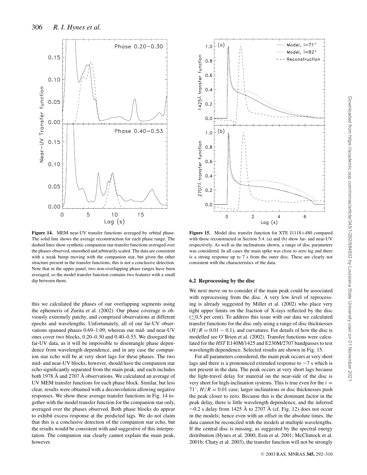

Figure 14. MEM near-UV transfer functions averaged by orbital phase. The solid line shows the average reconstruction for each phase range. The dashed lines show synthetic companion star transfer functions averaged over the phases observed, smoothed and arbitrarily scaled. The data are consistent with a weak bump moving with the companion star, but given the other structure present in the transfer functions, this is not a conclusive detection. Note that in the upper panel, two non-overlapping phase ranges have been averaged, so the model transfer function contains two features with a small dip between them.

this we calculated the phases of our overlapping segments using the ephemeris of Zurita et al. (2002). Our phase coverage is obviously extremely patchy, and comprised observations at different epochs and wavelengths. Unfortunately, all of our far-UV observations spanned phases 0.69–1.09, whereas our mid- and near-UV ones cover two blocks, 0.20–0.30 and 0.40–0.53. We disregard the far-UV data, as it will be impossible to disentangle phase dependence from wavelength dependence, and in any case the companion star echo will be at very short lags for these phases. The two mid- and near-UV blocks, however, should have the companion star echo significantly separated from the main peak, and each includes both 1978 Å and 2707 Å observations. We calculated an average of UV MEM transfer functions for each phase block. Similar, but less clear, results were obtained with a deconvolution allowing negative responses. We show these average transfer functions in Fig. 14 together with the model transfer function for the companion star only, averaged over the phases observed. Both phase blocks do appear to exhibit excess response at the predicted lags. We do not claim that this is a conclusive detection of the companion star echo, but the results would be consistent with and suggestive of this interpretation. The companion star clearly cannot explain the main peak, however.



Figure 15. Model disc transfer function for XTE J1118+480 compared with those reconstructed in Section 5.4. (a) and (b) show far- and near-UV respectively. As well as the inclinations shown, a range of disc parameters was considered. In all cases the main spike was close to zero lag and there is a strong response up to 7 s from the outer disc. These are clearly not consistent with the characteristics of the data.

## **6.2 Reprocessing by the disc**

We next move on to consider if the main peak could be associated with reprocessing from the disc. A very low level of reprocessing is already suggested by Miller et al. (2002) who place very tight upper limits on the fraction of X-rays reflected by the disc  $\lesssim 0.5$  per cent). To address this issue with our data we calculated transfer functions for the disc only using a range of disc thicknesses  $(H/R = 0.01 - 0.1)$ , and curvatures. For details of how the disc is modelled see O'Brien et al. (2002). Transfer functions were calculated for the *HST* E140M/1425 and E230M/2707 bandpasses to test wavelength dependence. Selected results are shown in Fig. 15.

For all parameters considered, the main peak occurs at very short lags and there is a pronounced extended response to ∼7 s which is not present in the data. The peak occurs at very short lags because the light-travel delay for material on the near-side of the disc is very short for high-inclination systems. This is true even for the  $i =$ 71<sup>°</sup>,  $H/R = 0.01$  case; larger inclinations or disc thicknesses push the peak closer to zero. Because this is the dominant factor in the peak delay, there is little wavelength dependence, and the inferred  $\sim$ 0.2 s delay from 1425 Å to 2707 Å (cf. Fig. 12) does not occur in the models; hence even with an offset in the absolute times, the data cannot be reconciled with the models at multiple wavelengths. If the central disc is missing, as suggested by the spectral energy distribution (Hynes et al. 2000; Esin et al. 2001; McClintock et al. 2001b; Chaty et al. 2003), the transfer function will not be strongly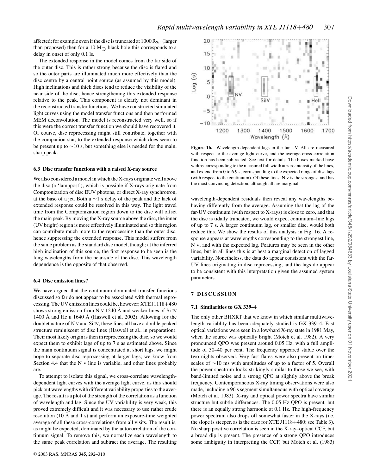affected; for example even if the disc is truncated at  $1000 R<sub>Sch</sub>$  (larger than proposed) then for a 10  $M_{\odot}$  black hole this corresponds to a delay in onset of only 0.1 ls.

The extended response in the model comes from the far side of the outer disc. This is rather strong because the disc is flared and so the outer parts are illuminated much more effectively than the disc centre by a central point source (as assumed by this model). High inclinations and thick discs tend to reduce the visibility of the near side of the disc, hence strengthening this extended response relative to the peak. This component is clearly not dominant in the reconstructed transfer functions. We have constructed simulated light curves using the model transfer functions and then performed MEM deconvolution. The model is reconstructed very well, so if this were the correct transfer function we should have recovered it. Of course, disc reprocessing might still contribute, together with the companion star, to the extended response which does seem to be present up to ∼10 s, but something else is needed for the main, sharp peak.

## **6.3 Disc transfer functions with a raised X-ray source**

We also considered a model in which the X-rays originate well above the disc (a 'lamppost'), which is possible if X-rays originate from Comptonization of disc EUV photons, or direct X-ray synchrotron, at the base of a jet. Both a ∼1 s delay of the peak and the lack of extended response could be resolved in this way. The light travel time from the Comptonization region down to the disc will offset the main peak. By moving the X-ray source above the disc, the inner (UV bright) region is more effectively illuminated and so this region can contribute much more to the reprocessing than the outer disc, hence suppressing the extended response. This model suffers from the same problem as the standard disc model, though; at the inferred high inclination of this source, the first response to be seen is the long wavelengths from the near-side of the disc. This wavelength dependence is the opposite of that observed.

### **6.4 Disc emission lines?**

We have argued that the continuum-dominated transfer functions discussed so far do not appear to be associated with thermal reprocessing. The UV emission lines could be, however; XTE J1118+480 shows strong emission from N v 1240  $\AA$  and weaker lines of Si IV 1400 Å and He  $\scriptstyle\rm II$  1640 Å (Haswell et al. 2002). Allowing for the doublet nature of N V and Si IV, these lines all have a double peaked structure reminiscent of disc lines (Haswell et al., in preparation). Their most likely origin is then in reprocessing the disc, so we would expect them to exhibit lags of up to 7 s as estimated above. Since the main continuum signal is concentrated at short lags, we might hope to separate disc reprocessing at larger lags; we know from Section 4.4 that the N V line is variable, and other lines probably are.

To attempt to isolate this signal, we cross-correlate wavelengthdependent light curves with the average light curve, as this should pick out wavelengths with different variability properties to the average. The result is a plot of the strength of the correlation as a function of wavelength and lag. Since the UV variability is very weak, this proved extremely difficult and it was necessary to use rather crude resolution (10  $\AA$  and 1 s) and perform an exposure-time weighted average of all these cross-correlations from all visits. The result is, as might be expected, dominated by the autocorrelation of the continuum signal. To remove this, we normalize each wavelength to the same peak correlation and subtract the average. The resulting



**Figure 16.** Wavelength-dependent lags in the far-UV. All are measured with respect to the average light curve, and the average cross-correlation function has been subtracted. See text for details. The boxes marked have widths corresponding to the measured full width at zero intensity of the lines, and extend from 0 to 6.9 s, corresponding to the expected range of disc lags (with respect to the continuum). Of these lines, N V is the strongest and has the most convincing detection, although all are marginal.

wavelength-dependent residuals then reveal any wavelengths behaving differently from the average. Assuming that the lag of the far-UV continuum (with respect to X-rays) is close to zero, and that the disc is tidally truncated, we would expect continuum–line lags of up to 7 s. A larger continuum lag, or smaller disc, would both reduce this. We show the results of this analysis in Fig. 16. A response appears at wavelengths corresponding to the strongest line, N V, and with the expected lag. Features may be seen in the other lines, but in all lines this is at best a marginal detection of lagged variability. Nonetheless, the data do appear consistent with the far-UV lines originating in disc reprocessing, and the lags do appear to be consistent with this interpretation given the assumed system parameters.

## **7 DISCUSSION**

## **7.1 Similarities to GX 339–4**

The only other BHXRT that we know in which similar multiwavelength variablity has been adequately studied is GX 339–4. Fast optical variations were seen in a low/hard X-ray state in 1981 May, when the source was optically bright (Motch et al. 1982). A very pronounced QPO was present around 0.05 Hz, with a full amplitude of 30–40 per cent. The frequency appeared stable over the two nights observed. Very fast flares were also present on timescales of ∼10 ms with amplitudes of up to a factor of 5. Overall the power spectrum looks strikingly similar to those we see, with band-limited noise and a strong QPO at slightly above the break frequency. Contemporaneous X-ray timing observations were also made, including a 96 s segment simultaneous with optical coverage (Motch et al. 1983). X-ray and optical power spectra have similar structure but subtle differences. The 0.05 Hz QPO is present, but there is an equally strong harmonic at 0.1 Hz. The high-frequency power spectrum also drops off somewhat faster in the X-rays (i.e. the slope is steeper, as is the case for XTE J1118+480; see Table 3). No sharp positive correlation is seen in the X-ray–optical CCF, but a broad dip is present. The presence of a strong QPO introduces some ambiguity in interpreting the CCF, but Motch et al. (1983)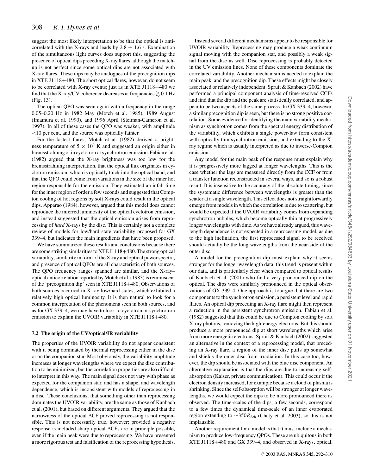suggest the most likely interpretation to be that the optical is anticorrelated with the X-rays and leads by  $2.8 \pm 1.6$  s. Examination of the simultaneous light curves does support this, suggesting the presence of optical dips preceding X-ray flares, although the matchup is not perfect since some optical dips are not associated with X-ray flares. These dips may be analogues of the precognition dips in XTE J1118+480. The short optical flares, however, do not seem to be correlated with X-ray events; just as in XTE J1118+480 we find that the X-ray/UV coherence decreases at frequencies  $\geq 0.1$  Hz (Fig. 13).

The optical QPO was seen again with a frequency in the range 0.05–0.20 Hz in 1982 May (Motch et al. 1985), 1989 August (Imamura et al. 1990), and 1996 April (Steiman-Cameron et al. 1997). In all of these cases the QPO was weaker, with amplitude <10 per cent, and the source was optically fainter.

For the fastest flares, Motch et al. (1982) derived a brightness temperature of  $5 \times 10^9$  K and suggested an origin either in bremsstrahlung or in cyclotron or synchrotron emission. Fabian et al. (1982) argued that the X-ray brightness was too low for the bremsstrahlung interpretation, that the optical flux originates in cyclotron emission, which is optically thick into the optical band, and that the QPO could come from variations in the size of the inner hot region responsible for the emission. They estimated an infall time for the inner region of order a few seconds and suggested that Compton cooling of hot regions by soft X-rays could result in the optical dips. Apparao (1984), however, argued that this model does cannot reproduce the inferred luminosity of the optical cyclotron emission, and instead suggested that the optical emission arises from reprocessing of *hard* X-rays by the disc. This is certainly not a complete review of models for low/hard state variability proposed for GX 339–4, but indicates the main ingredients that have been proposed.

We have summarized these results and conclusions because there are some striking similarities to XTE J1118+480. The strong optical variability, similarity in form of the X-ray and optical power spectra, and presence of optical QPOs are all characteristic of both sources. The QPO frequency ranges spanned are similar, and the X-ray– optical anticorrelation reported by Motch et al. (1983) is reminiscent of the 'precognition dip' seen in XTE J1118+480. Observations of both sources occurred in X-ray low/hard states, which exhibited a relatively high optical luminosity. It is then natural to look for a common interpretation of the phenomena seen in both sources, and as for GX 339–4, we may have to look to cyclotron or synchrotron emission to explain the UVOIR variability in XTE J1118+480.

## **7.2 The origin of the UV/optical/IR variability**

The properties of the UVOIR variability do not appear consistent with it being dominated by thermal reprocessing either in the disc or on the companion star. Most obviously, the variability amplitude increases at longer wavelengths where we expect the disc contribution to be minimized, but the correlation properties are also difficult to interpret in this way. The main signal does not vary with phase as expected for the companion star, and has a shape, and wavelength dependence, which is inconsistent with models of reprocessing in a disc. These conclusions, that something other than reprocessing dominates the UVOIR variability, are the same as those of Kanbach et al. (2001), but based on different arguments. They argued that the narrowness of the optical ACF proved reprocessing is not responsible. This is not necessarily true, however; provided a negative response is included sharp optical ACFs are in principle possible, even if the main peak were due to reprocessing. We have presented a more rigorous test and falsification of the reprocessing hypothesis.

Instead several different mechanisms appear to be responsible for UVOIR variability. Reprocessing may produce a weak continuum signal moving with the companion star, and possibly a weak signal from the disc as well. Disc reprocessing is probably detected in the UV emission lines. None of these components dominate the correlated variability. Another mechanism is needed to explain the main peak, and the precognition dip. These effects might be closely associated or relatively independent. Spruit & Kanbach (2002) have performed a principal component analysis of time-resolved CCFs and find that the dip and the peak are statistically correlated, and appear to be two aspects of the same process. In GX 339–4, however, a similar precognition dip is seen, but there is no strong positive correlation. Some evidence for identifying the main variability mechanism as synchrotron comes from the spectral energy distribution of the variability, which exhibits a single power-law form consistent with optically thin synchrotron emission, and extending to the Xray regime which is usually interpreted as due to inverse-Compton emission. Any model for the main peak of the response must explain why

it is progressively more lagged at longer wavelengths. This is the case whether the lags are measured directly from the CCF or from a transfer function reconstructed in several ways, and so is a robust result. It is insensitive to the accuracy of the absolute timing, since the systematic difference between wavelengths is greater than the scatter at a single wavelength. This effect does not straightforwardly emerge from models in which the correlation is due to scattering, but would be expected if the UVOIR variability comes from expanding synchrotron bubbles, which become optically thin at progressively longer wavelengths with time. As we have already argued, this wavelength dependence is not expected in a reprocessing model, as due to the high inclination, the first reprocessed signal to be received should actually be the long wavelengths from the near-side of the outer disc.

A model for the precognition dip must explain why it seems stronger for the longer wavelength data; this trend is present within our data, and is particularly clear when compared to optical results of Kanbach et al. (2001) who find a very pronounced dip on the optical. The dips were similarly pronounced in the optical observations of GX 339–4. One approach is to argue that there are two components to the synchrotron emission, a persistent level and rapid flares. An optical dip preceding an X-ray flare might then represent a reduction in the persistent synchrotron emission. Fabian et al. (1982) suggested that this could be due to Compton cooling by soft X-ray photons, removing the high-energy electrons. But this should produce a more pronounced dip at short wavelengths which arise from more energetic electrons. Spruit & Kanbach (2002) suggested an alternative in the context of a reprocessing model, that preceding an X-ray flare, a region of the inner disc puffs up somewhat and shields the outer disc from irradiation. In this case too, however, the dip should be associated with the blue disc component. An alternative explanation is that the dips are due to increasing selfabsorption (Kaiser, private communication). This could occur if the electron density increased, for example because a cloud of plasma is shrinking. Since the self-absorption will be stronger at longer wavelengths, we would expect the dips to be more pronounced there as observed. The time-scales of the dips, a few seconds, correspond to a few times the dynamical time-scale of an inner evaporated region extending to  $\sim$ 350 $R_{Sch}$  (Chaty et al. 2003), so this is not implausible.

Another requirement for a model is that it must include a mechanism to produce low-frequency QPOs. These are ubiquitous in both XTE J1118+480 and GX 339–4, and observed in X-rays, optical,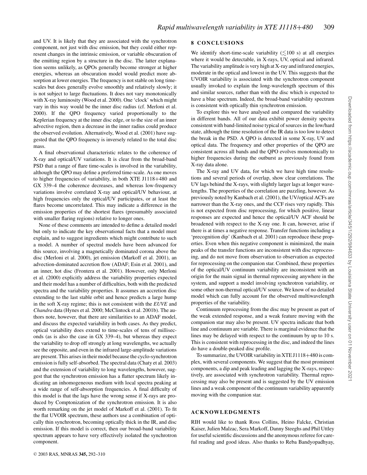and UV. It is likely that they are associated with the synchrotron component, not just with disc emission, but they could either represent changes in the intrinsic emission, or variable obscuration of the emitting region by a structure in the disc. The latter explanation seems unlikely, as QPOs generally become stronger at higher energies, whereas an obscuration model would predict more absorption at lower energies. The frequency is not stable on long timescales but does generally evolve smoothly and relatively slowly; it is not subject to large fluctuations. It does not vary monotonically with X-ray luminosity (Wood et al. 2000). One 'clock' which might vary in this way would be the inner disc radius (cf. Merloni et al. 2000). If the QPO frequency varied proportionally to the Keplerian frequency at the inner disc edge, or to the size of an inner advective region, then a decrease in the inner radius could produce the observed evolution. Alternatively, Wood et al. (2001) have suggested that the QPO frequency is inversely related to the total disc mass.

A final observational characteristic relates to the coherence of X-ray and optical/UV variations. It is clear from the broad-band PSD that a range of flare time-scales is involved in the variability, although the QPO may define a preferred time-scale. As one moves to higher frequencies of variability, in both XTE J1118+480 and GX 339–4 the coherence decreases, and whereas low-frequency variations involve correlated X-ray and optical/UV behaviour, at high frequencies only the optical/UV participates, or at least the flares become uncorrelated. This may indicate a difference in the emission properties of the shortest flares (presumably associated with smaller flaring regions) relative to longer ones.

None of these comments are intended to define a detailed model but only to indicate the key observational facts that a model must explain, and to suggest ingredients which might contribute to such a model. A number of spectral models have been advanced for this source, involving a magnetically dominated corona above the disc (Merloni et al. 2000), jet emission (Markoff et al. 2001), an advection-dominated accretion flow (ADAF; Esin et al. 2001), and an inner, hot disc (Frontera et al. 2001). However, only Merloni et al. (2000) explicitly address the variability properties expected and their model has a number of difficulties, both with the predicted spectra and the variability properties. It assumes an accretion disc extending to the last stable orbit and hence predicts a large hump in the soft X-ray regime; this is not consistent with the *EUVE* and *Chandra* data (Hynes et al. 2000; McClintock et al. 2001b). The authors note, however, that there are similarities to an ADAF model, and discuss the expected variability in both cases. As they predict, optical variability does extend to time-scales of tens of milliseconds (as is also the case in GX 339–4), but whereas they expect the variability to drop off strongly at long wavelengths, we actually see the opposite, and even in the infrared large-amplitude variations are present. This arises in their model because the cyclo-synchrotron emission is fully self-absorbed. The spectral data (Chaty et al. 2003) and the extension of variability to long wavelengths, however, suggest that the synchrotron emission has a flatter spectrum likely indicating an inhomogeneous medium with local spectra peaking at a wide range of self-absorption frequencies. A final difficulty of this model is that the lags have the wrong sense if X-rays are produced by Comptonization of the synchrotron emission. It is also worth remarking on the jet model of Markoff et al. (2001). To fit the flat UVOIR spectrum, these authors use a combination of optically thin synchrotron, becoming optically thick in the IR, and disc emission. If this model is correct, then our broad-band variability spectrum appears to have very effectively isolated the synchrotron component.

## **8 CONCLUSIONS**

We identify short-time-scale variability  $(\leq 100 \text{ s})$  at all energies where it would be detectable, in X-rays, UV, optical and infrared. The variability amplitude is very high at X-ray and infrared energies, moderate in the optical and lowest in the UV. This suggests that the UVOIR variability is associated with the synchrotron component usually invoked to explain the long-wavelength spectrum of this and similar sources, rather than with the disc which is expected to have a blue spectrum. Indeed, the broad-band variability spectrum is consistent with optically thin synchrotron emission.

To explore this we have analysed and compared the variability in different bands. All of our data exhibit power density spectra consistent with band-limited noise typical of sources in the low/hard state, although the time resolution of the IR data is too low to detect the break in the PSD. A QPO is detected in some X-ray, UV and optical data. The frequency and other properties of the QPO are consistent across all bands and the QPO evolves monotonically to higher frequencies during the outburst as previously found from X-ray data alone.

The X-ray and UV data, for which we have high time resolutions and several periods of overlap, show clear correlations. The UV lags behind the X-rays, with slightly larger lags at longer wavelengths. The properties of the correlation are puzzling, however. As previously noted by Kanbach et al. (2001), the UV/optical ACFs are narrower than the X-ray ones, and the CCF rises very rapidly. This is not expected from disc reprocessing, for which positive, linear responses are expected and hence the optical/UV ACF should be broadened with respect to the X-ray one. It can, however, arise if there is at times a negative response. Transfer functions including a 'precognition dip' (Kanbach et al. 2001) can reproduce these properties. Even when this negative component is minimized, the main peaks of the transfer functions are inconsistent with disc reprocessing, and do not move from observation to observation as expected for reprocessing on the companion star. Combined, these properties of the optical/UV continuum variability are inconsistent with an origin for the main signal in thermal reprocessing anywhere in the system, and support a model involving synchrotron variability, or some other non-thermal optical/UV source. We know of no detailed model which can fully account for the observed multiwavelength properties of the variability.

Continuum reprocessing from the disc may be present as part of the weak extended response, and a weak feature moving with the companion star may also be present. UV spectra indicate that both line and continuum are variable. There is marginal evidence that the lines may be delayed with respect to the continuum by up to 10 s. This is consistent with reprocessing in the disc, and indeed the lines do have a double-peaked disc profile.

To summarize, the UVOIR variability in XTE J1118+480 is complex, with several components. We suggest that the most prominent components, a dip and peak leading and lagging the X-rays, respectively, are associated with synchrotron variability. Thermal reprocessing may also be present and is suggested by the UV emission lines and a weak component of the continuum variability apparently moving with the companion star.

## **ACKNOWLEDGMENTS**

RIH would like to thank Ross Collins, Heino Falcke, Christian Kaiser, Julien Malzac, Sera Markoff, Danny Steeghs and Phil Uttley for useful scientific discussions and the anonymous referee for careful reading and good ideas. Also thanks to Reba Bandyopadhyay,